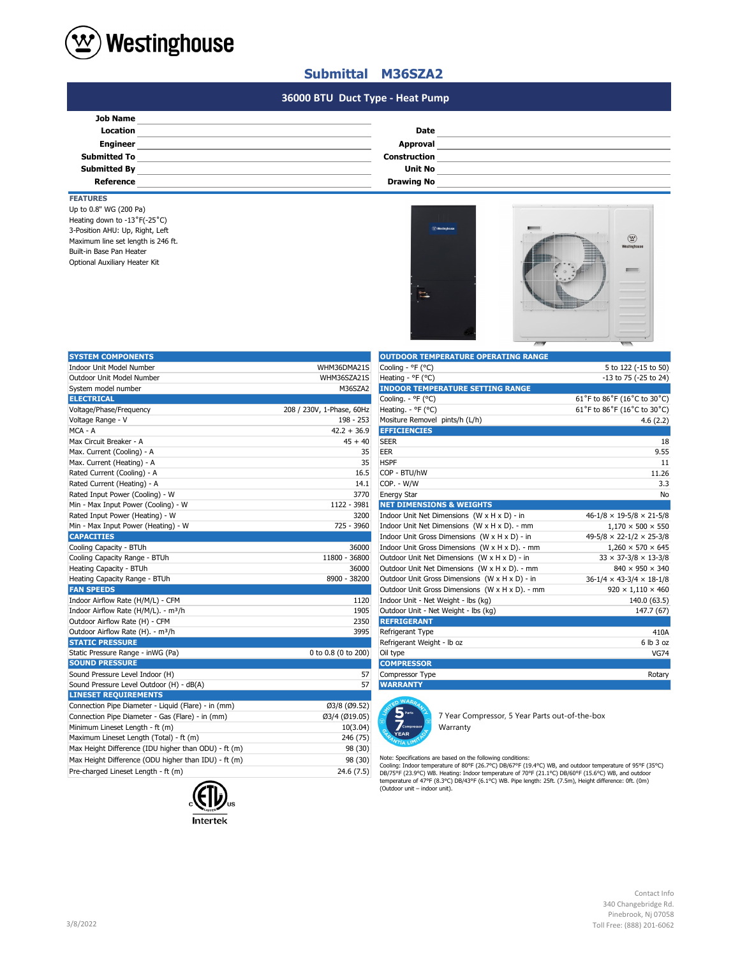

## **Submittal M36SZA2**

#### **#N/A #N/A 36000 BTU Duct Type - Heat Pump**

| Date                |  |
|---------------------|--|
| Approval            |  |
| <b>Construction</b> |  |
| <b>Unit No</b>      |  |
| <b>Drawing No</b>   |  |
|                     |  |

### **FEATURES**

Maximum line set length is 246 ft. Built-in Base Pan Heater Up to 0.8" WG (200 Pa) Heating down to -13˚F(-25˚C) Optional Auxiliary Heater Kit 3-Position AHU: Up, Right, Left



| <b>SYSTEM COMPONENTS</b>                             |                           | <b>OUTDOOR TEMPERATURE OPERATING RANGE</b>                                                                                                                                                                                                                                                                            |                                            |
|------------------------------------------------------|---------------------------|-----------------------------------------------------------------------------------------------------------------------------------------------------------------------------------------------------------------------------------------------------------------------------------------------------------------------|--------------------------------------------|
| Indoor Unit Model Number                             | WHM36DMA21S               | Cooling - °F (°C)                                                                                                                                                                                                                                                                                                     | 5 to 122 (-15 to 50)                       |
| Outdoor Unit Model Number                            | WHM36SZA21S               | Heating - ${}^{\circ}$ F ( ${}^{\circ}$ C)                                                                                                                                                                                                                                                                            | -13 to 75 (-25 to 24)                      |
| System model number                                  | M36SZA2                   | <b>INDOOR TEMPERATURE SETTING RANGE</b>                                                                                                                                                                                                                                                                               |                                            |
| <b>ELECTRICAL</b>                                    |                           | Cooling. - °F (°C)                                                                                                                                                                                                                                                                                                    | 61°F to 86°F (16°C to 30°C)                |
| Voltage/Phase/Frequency                              | 208 / 230V, 1-Phase, 60Hz | Heating. - °F (°C)                                                                                                                                                                                                                                                                                                    | 61°F to 86°F (16°C to 30°C)                |
| Voltage Range - V                                    | 198 - 253                 | Mositure Removel pints/h (L/h)                                                                                                                                                                                                                                                                                        | 4.6(2.2)                                   |
| MCA - A                                              | $42.2 + 36.9$             | <b>EFFICIENCIES</b>                                                                                                                                                                                                                                                                                                   |                                            |
| Max Circuit Breaker - A                              | $45 + 40$                 | <b>SEER</b>                                                                                                                                                                                                                                                                                                           | 18                                         |
| Max. Current (Cooling) - A                           | 35                        | <b>EER</b>                                                                                                                                                                                                                                                                                                            | 9.55                                       |
| Max. Current (Heating) - A                           | 35                        | <b>HSPF</b>                                                                                                                                                                                                                                                                                                           | 11                                         |
| Rated Current (Cooling) - A                          | 16.5                      | COP - BTU/hW                                                                                                                                                                                                                                                                                                          | 11.26                                      |
| Rated Current (Heating) - A                          | 14.1                      | COP. - W/W                                                                                                                                                                                                                                                                                                            | 3.3                                        |
| Rated Input Power (Cooling) - W                      | 3770                      | <b>Energy Star</b>                                                                                                                                                                                                                                                                                                    | No                                         |
| Min - Max Input Power (Cooling) - W                  | 1122 - 3981               | <b>NET DIMENSIONS &amp; WEIGHTS</b>                                                                                                                                                                                                                                                                                   |                                            |
| Rated Input Power (Heating) - W                      | 3200                      | Indoor Unit Net Dimensions $(W \times H \times D)$ - in                                                                                                                                                                                                                                                               | $46 - 1/8 \times 19 - 5/8 \times 21 - 5/8$ |
| Min - Max Input Power (Heating) - W                  | 725 - 3960                | Indoor Unit Net Dimensions (W x H x D). - mm                                                                                                                                                                                                                                                                          | $1,170 \times 500 \times 550$              |
| <b>CAPACITIES</b>                                    |                           | Indoor Unit Gross Dimensions (W x H x D) - in                                                                                                                                                                                                                                                                         | $49-5/8 \times 22-1/2 \times 25-3/8$       |
| Cooling Capacity - BTUh                              | 36000                     | Indoor Unit Gross Dimensions (W x H x D). - mm                                                                                                                                                                                                                                                                        | $1,260 \times 570 \times 645$              |
| Cooling Capacity Range - BTUh                        | 11800 - 36800             | Outdoor Unit Net Dimensions (W x H x D) - in                                                                                                                                                                                                                                                                          | $33 \times 37 - 3/8 \times 13 - 3/8$       |
| Heating Capacity - BTUh                              | 36000                     | Outdoor Unit Net Dimensions (W x H x D). - mm                                                                                                                                                                                                                                                                         | 840 × 950 × 340                            |
| Heating Capacity Range - BTUh                        | 8900 - 38200              | Outdoor Unit Gross Dimensions (W x H x D) - in                                                                                                                                                                                                                                                                        | $36-1/4 \times 43-3/4 \times 18-1/8$       |
| <b>FAN SPEEDS</b>                                    |                           | Outdoor Unit Gross Dimensions (W x H x D). - mm                                                                                                                                                                                                                                                                       | $920 \times 1,110 \times 460$              |
| Indoor Airflow Rate (H/M/L) - CFM                    | 1120                      | Indoor Unit - Net Weight - lbs (kg)                                                                                                                                                                                                                                                                                   | 140.0 (63.5)                               |
| Indoor Airflow Rate (H/M/L). - m <sup>3</sup> /h     | 1905                      | Outdoor Unit - Net Weight - Ibs (kg)                                                                                                                                                                                                                                                                                  | 147.7 (67)                                 |
| Outdoor Airflow Rate (H) - CFM                       | 2350                      | <b>REFRIGERANT</b>                                                                                                                                                                                                                                                                                                    |                                            |
| Outdoor Airflow Rate (H). - m <sup>3</sup> /h        | 3995                      | Refrigerant Type                                                                                                                                                                                                                                                                                                      | 410A                                       |
| <b>STATIC PRESSURE</b>                               |                           | Refrigerant Weight - Ib oz                                                                                                                                                                                                                                                                                            | 6 lb 3 oz                                  |
| Static Pressure Range - inWG (Pa)                    | 0 to 0.8 (0 to 200)       | Oil type                                                                                                                                                                                                                                                                                                              | <b>VG74</b>                                |
| <b>SOUND PRESSURE</b>                                |                           | <b>COMPRESSOR</b>                                                                                                                                                                                                                                                                                                     |                                            |
| Sound Pressure Level Indoor (H)                      | 57                        | Compressor Type                                                                                                                                                                                                                                                                                                       | Rotary                                     |
| Sound Pressure Level Outdoor (H) - dB(A)             | 57                        | <b>WARRANTY</b>                                                                                                                                                                                                                                                                                                       |                                            |
| <b>LINESET REQUIREMENTS</b>                          |                           | <b>WARD</b>                                                                                                                                                                                                                                                                                                           |                                            |
| Connection Pipe Diameter - Liquid (Flare) - in (mm)  | Ø3/8 (Ø9.52)              |                                                                                                                                                                                                                                                                                                                       |                                            |
| Connection Pipe Diameter - Gas (Flare) - in (mm)     | Ø3/4 (Ø19.05)             | 7 Year Compressor, 5 Year Parts out-of-the-box                                                                                                                                                                                                                                                                        |                                            |
| Minimum Lineset Length - ft (m)                      | 10(3.04)                  | Warranty                                                                                                                                                                                                                                                                                                              |                                            |
| Maximum Lineset Length (Total) - ft (m)              | 246 (75)                  | <b>YEAR</b>                                                                                                                                                                                                                                                                                                           |                                            |
| Max Height Difference (IDU higher than ODU) - ft (m) | 98 (30)                   |                                                                                                                                                                                                                                                                                                                       |                                            |
| Max Height Difference (ODU higher than IDU) - ft (m) | 98 (30)                   | Note: Specifications are based on the following conditions:                                                                                                                                                                                                                                                           |                                            |
| Pre-charged Lineset Length - ft (m)                  | 24.6(7.5)                 | Cooling: Indoor temperature of 80°F (26.7°C) DB/67°F (19.4°C) WB, and outdoor temperature of 95°F (35°C)<br>DB/75°F (23.9°C) WB. Heating: Indoor temperature of 70°F (21.1°C) DB/60°F (15.6°C) WB, and outdoor<br>tomporature of 470E (9.39C) DRJ439E (6.19C) WR. Dine lopeth: 3EA (7.Em). Hojekt difference: 08 (0m) |                                            |



| <b>OUTDOOR TEMPERATURE OPERATING RANGE</b>      |                                      |
|-------------------------------------------------|--------------------------------------|
| Cooling - °F (°C)                               | 5 to 122 (-15 to 50)                 |
| Heating - $^{\circ}$ F ( $^{\circ}$ C)          | -13 to 75 (-25 to 24)                |
| <b>INDOOR TEMPERATURE SETTING RANGE</b>         |                                      |
| Cooling. - °F (°C)                              | 61°F to 86°F (16°C to 30°C)          |
| Heating. - ${}^{\circ}$ F ( ${}^{\circ}$ C)     | 61°F to 86°F (16°C to 30°C)          |
| Mositure Removel pints/h (L/h)                  | 4.6(2.2)                             |
| <b>EFFICIENCIES</b>                             |                                      |
| <b>SEER</b>                                     | 18                                   |
| <b>EER</b>                                      | 9.55                                 |
| <b>HSPF</b>                                     | 11                                   |
| COP - BTU/hW                                    | 11.26                                |
| COP. - W/W                                      | 3.3                                  |
| <b>Energy Star</b>                              | <b>No</b>                            |
| <b>NET DIMENSIONS &amp; WEIGHTS</b>             |                                      |
| Indoor Unit Net Dimensions (W x H x D) - in     | $46-1/8 \times 19-5/8 \times 21-5/8$ |
| Indoor Unit Net Dimensions (W x H x D). - mm    | $1,170 \times 500 \times 550$        |
| Indoor Unit Gross Dimensions (W x H x D) - in   | $49-5/8 \times 22-1/2 \times 25-3/8$ |
| Indoor Unit Gross Dimensions (W x H x D), - mm  | $1,260 \times 570 \times 645$        |
| Outdoor Unit Net Dimensions (W x H x D) - in    | $33 \times 37 - 3/8 \times 13 - 3/8$ |
| Outdoor Unit Net Dimensions (W x H x D). - mm   | $840 \times 950 \times 340$          |
| Outdoor Unit Gross Dimensions (W x H x D) - in  | $36-1/4 \times 43-3/4 \times 18-1/8$ |
| Outdoor Unit Gross Dimensions (W x H x D). - mm | $920 \times 1,110 \times 460$        |
| Indoor Unit - Net Weight - lbs (kg)             | 140.0 (63.5)                         |
| Outdoor Unit - Net Weight - lbs (kg)            | 147.7 (67)                           |
| <b>REFRIGERANT</b>                              |                                      |
| Refrigerant Type                                | 410A                                 |
| Refrigerant Weight - Ib oz                      | 6 lb 3 oz                            |
| Oil type                                        | <b>VG74</b>                          |
| <b>COMPRESSOR</b>                               |                                      |
| Compressor Type                                 | Rotary                               |
| <b>WARRANTY</b>                                 |                                      |



Note: Specifications are based on the following conditions:<br>Cooling: Indoor temperature of 80°F (26.7°C) DB/67°F (19.4°C) WB, and outdoor temperature of 95°F (35°C)<br>DB/75°F (23.9°C) WB. Heating: Indoor temperature of 70°F